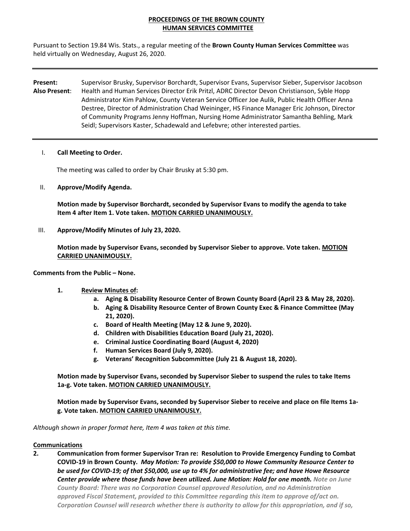## **PROCEEDINGS OF THE BROWN COUNTY HUMAN SERVICES COMMITTEE**

Pursuant to Section 19.84 Wis. Stats., a regular meeting of the **Brown County Human Services Committee** was held virtually on Wednesday, August 26, 2020.

**Present:**  Supervisor Brusky, Supervisor Borchardt, Supervisor Evans, Supervisor Sieber, Supervisor Jacobson **Also Present**: Health and Human Services Director Erik Pritzl, ADRC Director Devon Christianson, Syble Hopp Administrator Kim Pahlow, County Veteran Service Officer Joe Aulik, Public Health Officer Anna Destree, Director of Administration Chad Weininger, HS Finance Manager Eric Johnson, Director of Community Programs Jenny Hoffman, Nursing Home Administrator Samantha Behling, Mark Seidl; Supervisors Kaster, Schadewald and Lefebvre; other interested parties.

#### I. **Call Meeting to Order.**

The meeting was called to order by Chair Brusky at 5:30 pm.

II. **Approve/Modify Agenda.**

**Motion made by Supervisor Borchardt, seconded by Supervisor Evans to modify the agenda to take Item 4 after Item 1. Vote taken. MOTION CARRIED UNANIMOUSLY.**

III. **Approve/Modify Minutes of July 23, 2020.**

**Motion made by Supervisor Evans, seconded by Supervisor Sieber to approve. Vote taken. MOTION CARRIED UNANIMOUSLY.**

**Comments from the Public – None.**

- **1. Review Minutes of:** 
	- **a. Aging & Disability Resource Center of Brown County Board (April 23 & May 28, 2020).**
	- **b. Aging & Disability Resource Center of Brown County Exec & Finance Committee (May 21, 2020).**
	- **c. Board of Health Meeting (May 12 & June 9, 2020).**
	- **d. Children with Disabilities Education Board (July 21, 2020).**
	- **e. Criminal Justice Coordinating Board (August 4, 2020)**
	- **f. Human Services Board (July 9, 2020).**
	- **g. Veterans' Recognition Subcommittee (July 21 & August 18, 2020).**

**Motion made by Supervisor Evans, seconded by Supervisor Sieber to suspend the rules to take Items 1a‐g. Vote taken. MOTION CARRIED UNANIMOUSLY.** 

Motion made by Supervisor Evans, seconded by Supervisor Sieber to receive and place on file Items 1a**g. Vote taken. MOTION CARRIED UNANIMOUSLY.**

*Although shown in proper format here, Item 4 was taken at this time.* 

#### **Communications**

**2. Communication from former Supervisor Tran re: Resolution to Provide Emergency Funding to Combat COVID‐19 in Brown County.** *May Motion: To provide \$50,000 to Howe Community Resource Center to* be used for COVID-19; of that \$50,000, use up to 4% for administrative fee; and have Howe Resource *Center provide where those funds have been utilized. June Motion: Hold for one month. Note on June County Board: There was no Corporation Counsel approved Resolution, and no Administration approved Fiscal Statement, provided to this Committee regarding this item to approve of/act on. Corporation Counsel will research whether there is authority to allow for this appropriation, and if so,*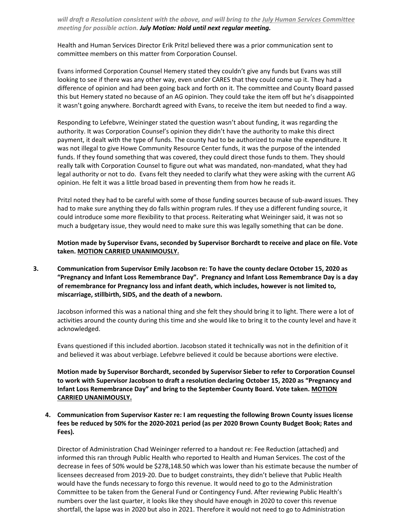*will draft a Resolution consistent with the above, and will bring to the July Human Services Committee meeting for possible action. July Motion: Hold until next regular meeting.*

Health and Human Services Director Erik Pritzl believed there was a prior communication sent to committee members on this matter from Corporation Counsel.

Evans informed Corporation Counsel Hemery stated they couldn't give any funds but Evans was still looking to see if there was any other way, even under CARES that they could come up it. They had a difference of opinion and had been going back and forth on it. The committee and County Board passed this but Hemery stated no because of an AG opinion. They could take the item off but he's disappointed it wasn't going anywhere. Borchardt agreed with Evans, to receive the item but needed to find a way.

Responding to Lefebvre, Weininger stated the question wasn't about funding, it was regarding the authority. It was Corporation Counsel's opinion they didn't have the authority to make this direct payment, it dealt with the type of funds. The county had to be authorized to make the expenditure. It was not illegal to give Howe Community Resource Center funds, it was the purpose of the intended funds. If they found something that was covered, they could direct those funds to them. They should really talk with Corporation Counsel to figure out what was mandated, non-mandated, what they had legal authority or not to do. Evans felt they needed to clarify what they were asking with the current AG opinion. He felt it was a little broad based in preventing them from how he reads it.

Pritzl noted they had to be careful with some of those funding sources because of sub‐award issues. They had to make sure anything they do falls within program rules. If they use a different funding source, it could introduce some more flexibility to that process. Reiterating what Weininger said, it was not so much a budgetary issue, they would need to make sure this was legally something that can be done.

**Motion made by Supervisor Evans, seconded by Supervisor Borchardt to receive and place on file. Vote taken. MOTION CARRIED UNANIMOUSLY.**

**3. Communication from Supervisor Emily Jacobson re: To have the county declare October 15, 2020 as "Pregnancy and Infant Loss Remembrance Day". Pregnancy and Infant Loss Remembrance Day is a day of remembrance for Pregnancy loss and infant death, which includes, however is not limited to, miscarriage, stillbirth, SIDS, and the death of a newborn.** 

Jacobson informed this was a national thing and she felt they should bring it to light. There were a lot of activities around the county during this time and she would like to bring it to the county level and have it acknowledged.

Evans questioned if this included abortion. Jacobson stated it technically was not in the definition of it and believed it was about verbiage. Lefebvre believed it could be because abortions were elective.

**Motion made by Supervisor Borchardt, seconded by Supervisor Sieber to refer to Corporation Counsel to work with Supervisor Jacobson to draft a resolution declaring October 15, 2020 as "Pregnancy and Infant Loss Remembrance Day" and bring to the September County Board. Vote taken. MOTION CARRIED UNANIMOUSLY.**

**4. Communication from Supervisor Kaster re: I am requesting the following Brown County issues license** fees be reduced by 50% for the 2020-2021 period (as per 2020 Brown County Budget Book; Rates and **Fees)***.*

Director of Administration Chad Weininger referred to a handout re: Fee Reduction (attached) and informed this ran through Public Health who reported to Health and Human Services. The cost of the decrease in fees of 50% would be \$278,148.50 which was lower than his estimate because the number of licensees decreased from 2019‐20. Due to budget constraints, they didn't believe that Public Health would have the funds necessary to forgo this revenue. It would need to go to the Administration Committee to be taken from the General Fund or Contingency Fund. After reviewing Public Health's numbers over the last quarter, it looks like they should have enough in 2020 to cover this revenue shortfall, the lapse was in 2020 but also in 2021. Therefore it would not need to go to Administration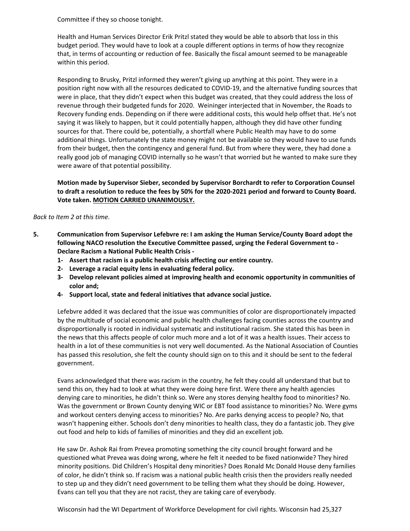Committee if they so choose tonight.

Health and Human Services Director Erik Pritzl stated they would be able to absorb that loss in this budget period. They would have to look at a couple different options in terms of how they recognize that, in terms of accounting or reduction of fee. Basically the fiscal amount seemed to be manageable within this period.

Responding to Brusky, Pritzl informed they weren't giving up anything at this point. They were in a position right now with all the resources dedicated to COVID‐19, and the alternative funding sources that were in place, that they didn't expect when this budget was created, that they could address the loss of revenue through their budgeted funds for 2020. Weininger interjected that in November, the Roads to Recovery funding ends. Depending on if there were additional costs, this would help offset that. He's not saying it was likely to happen, but it could potentially happen, although they did have other funding sources for that. There could be, potentially, a shortfall where Public Health may have to do some additional things. Unfortunately the state money might not be available so they would have to use funds from their budget, then the contingency and general fund. But from where they were, they had done a really good job of managing COVID internally so he wasn't that worried but he wanted to make sure they were aware of that potential possibility.

**Motion made by Supervisor Sieber, seconded by Supervisor Borchardt to refer to Corporation Counsel** to draft a resolution to reduce the fees by 50% for the 2020-2021 period and forward to County Board. **Vote taken. MOTION CARRIED UNANIMOUSLY.**

#### *Back to Item 2 at this time.*

- **5. Communication from Supervisor Lefebvre re: I am asking the Human Service/County Board adopt the following NACO resolution the Executive Committee passed, urging the Federal Government to ‐ Declare Racism a National Public Health Crisis ‐** 
	- **1‐ Assert that racism is a public health crisis affecting our entire country.**
	- **2‐ Leverage a racial equity lens in evaluating federal policy.**
	- **3‐ Develop relevant policies aimed at improving health and economic opportunity in communities of color and;**
	- **4‐ Support local, state and federal initiatives that advance social justice.**

Lefebvre added it was declared that the issue was communities of color are disproportionately impacted by the multitude of social economic and public health challenges facing counties across the country and disproportionally is rooted in individual systematic and institutional racism. She stated this has been in the news that this affects people of color much more and a lot of it was a health issues. Their access to health in a lot of these communities is not very well documented. As the National Association of Counties has passed this resolution, she felt the county should sign on to this and it should be sent to the federal government.

Evans acknowledged that there was racism in the country, he felt they could all understand that but to send this on, they had to look at what they were doing here first. Were there any health agencies denying care to minorities, he didn't think so. Were any stores denying healthy food to minorities? No. Was the government or Brown County denying WIC or EBT food assistance to minorities? No. Were gyms and workout centers denying access to minorities? No. Are parks denying access to people? No, that wasn't happening either. Schools don't deny minorities to health class, they do a fantastic job. They give out food and help to kids of families of minorities and they did an excellent job.

He saw Dr. Ashok Rai from Prevea promoting something the city council brought forward and he questioned what Prevea was doing wrong, where he felt it needed to be fixed nationwide? They hired minority positions. Did Children's Hospital deny minorities? Does Ronald Mc Donald House deny families of color, he didn't think so. If racism was a national public health crisis then the providers really needed to step up and they didn't need government to be telling them what they should be doing. However, Evans can tell you that they are not racist, they are taking care of everybody.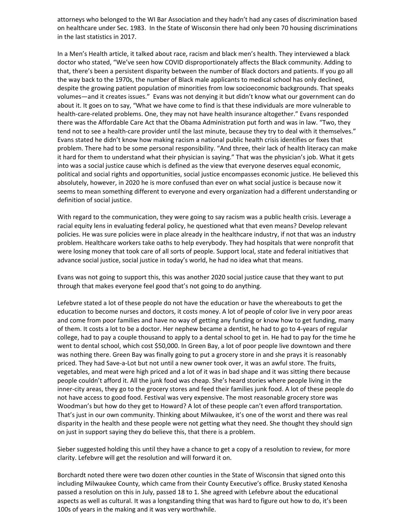attorneys who belonged to the WI Bar Association and they hadn't had any cases of discrimination based on healthcare under Sec. 1983. In the State of Wisconsin there had only been 70 housing discriminations in the last statistics in 2017.

In a Men's Health article, it talked about race, racism and black men's health. They interviewed a black doctor who stated, "We've seen how COVID disproportionately affects the Black community. Adding to that, there's been a persistent disparity between the number of Black doctors and patients. If you go all the way back to the 1970s, the number of Black male applicants to medical school has only declined, despite the growing patient population of minorities from low socioeconomic backgrounds. That speaks volumes—and it creates issues." Evans was not denying it but didn't know what our government can do about it. It goes on to say, "What we have come to find is that these individuals are more vulnerable to health-care-related problems. One, they may not have health insurance altogether." Evans responded there was the Affordable Care Act that the Obama Administration put forth and was in law. "Two, they tend not to see a health-care provider until the last minute, because they try to deal with it themselves." Evans stated he didn't know how making racism a national public health crisis identifies or fixes that problem. There had to be some personal responsibility. "And three, their lack of health literacy can make it hard for them to understand what their physician is saying." That was the physician's job. What it gets into was a social justice cause which is defined as the view that everyone deserves equal economic, political and social rights and opportunities, social justice encompasses economic justice. He believed this absolutely, however, in 2020 he is more confused than ever on what social justice is because now it seems to mean something different to everyone and every organization had a different understanding or definition of social justice.

With regard to the communication, they were going to say racism was a public health crisis. Leverage a racial equity lens in evaluating federal policy, he questioned what that even means? Develop relevant policies. He was sure policies were in place already in the healthcare industry, if not that was an industry problem. Healthcare workers take oaths to help everybody. They had hospitals that were nonprofit that were losing money that took care of all sorts of people. Support local, state and federal initiatives that advance social justice, social justice in today's world, he had no idea what that means.

Evans was not going to support this, this was another 2020 social justice cause that they want to put through that makes everyone feel good that's not going to do anything.

Lefebvre stated a lot of these people do not have the education or have the whereabouts to get the education to become nurses and doctors, it costs money. A lot of people of color live in very poor areas and come from poor families and have no way of getting any funding or know how to get funding, many of them. It costs a lot to be a doctor. Her nephew became a dentist, he had to go to 4‐years of regular college, had to pay a couple thousand to apply to a dental school to get in. He had to pay for the time he went to dental school, which cost \$50,000. In Green Bay, a lot of poor people live downtown and there was nothing there. Green Bay was finally going to put a grocery store in and she prays it is reasonably priced. They had Save‐a‐Lot but not until a new owner took over, it was an awful store. The fruits, vegetables, and meat were high priced and a lot of it was in bad shape and it was sitting there because people couldn't afford it. All the junk food was cheap. She's heard stories where people living in the inner-city areas, they go to the grocery stores and feed their families junk food. A lot of these people do not have access to good food. Festival was very expensive. The most reasonable grocery store was Woodman's but how do they get to Howard? A lot of these people can't even afford transportation. That's just in our own community. Thinking about Milwaukee, it's one of the worst and there was real disparity in the health and these people were not getting what they need. She thought they should sign on just in support saying they do believe this, that there is a problem.

Sieber suggested holding this until they have a chance to get a copy of a resolution to review, for more clarity. Lefebvre will get the resolution and will forward it on.

Borchardt noted there were two dozen other counties in the State of Wisconsin that signed onto this including Milwaukee County, which came from their County Executive's office. Brusky stated Kenosha passed a resolution on this in July, passed 18 to 1. She agreed with Lefebvre about the educational aspects as well as cultural. It was a longstanding thing that was hard to figure out how to do, it's been 100s of years in the making and it was very worthwhile.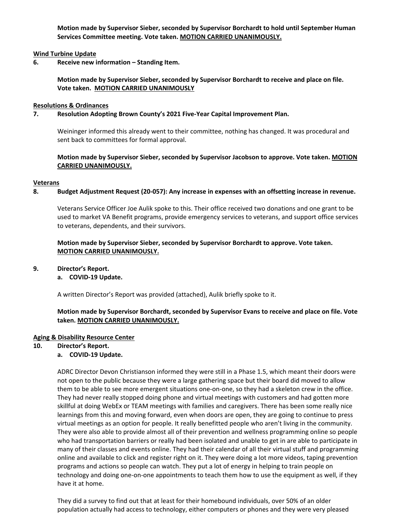**Motion made by Supervisor Sieber, seconded by Supervisor Borchardt to hold until September Human Services Committee meeting. Vote taken. MOTION CARRIED UNANIMOUSLY.**

### **Wind Turbine Update**

**6. Receive new information – Standing Item.** 

**Motion made by Supervisor Sieber, seconded by Supervisor Borchardt to receive and place on file. Vote taken. MOTION CARRIED UNANIMOUSLY**

#### **Resolutions & Ordinances**

#### **7. Resolution Adopting Brown County's 2021 Five‐Year Capital Improvement Plan.**

Weininger informed this already went to their committee, nothing has changed. It was procedural and sent back to committees for formal approval.

### **Motion made by Supervisor Sieber, seconded by Supervisor Jacobson to approve. Vote taken. MOTION CARRIED UNANIMOUSLY.**

#### **Veterans**

### 8. Budget Adjustment Request (20-057): Any increase in expenses with an offsetting increase in revenue.

Veterans Service Officer Joe Aulik spoke to this. Their office received two donations and one grant to be used to market VA Benefit programs, provide emergency services to veterans, and support office services to veterans, dependents, and their survivors.

### **Motion made by Supervisor Sieber, seconded by Supervisor Borchardt to approve. Vote taken. MOTION CARRIED UNANIMOUSLY.**

#### **9. Director's Report.**

**a. COVID‐19 Update.**

A written Director's Report was provided (attached), Aulik briefly spoke to it.

### **Motion made by Supervisor Borchardt, seconded by Supervisor Evans to receive and place on file. Vote taken. MOTION CARRIED UNANIMOUSLY.**

#### **Aging & Disability Resource Center**

**10. Director's Report.** 

#### **a. COVID‐19 Update.**

ADRC Director Devon Christianson informed they were still in a Phase 1.5, which meant their doors were not open to the public because they were a large gathering space but their board did moved to allow them to be able to see more emergent situations one‐on‐one, so they had a skeleton crew in the office. They had never really stopped doing phone and virtual meetings with customers and had gotten more skillful at doing WebEx or TEAM meetings with families and caregivers. There has been some really nice learnings from this and moving forward, even when doors are open, they are going to continue to press virtual meetings as an option for people. It really benefitted people who aren't living in the community. They were also able to provide almost all of their prevention and wellness programming online so people who had transportation barriers or really had been isolated and unable to get in are able to participate in many of their classes and events online. They had their calendar of all their virtual stuff and programming online and available to click and register right on it. They were doing a lot more videos, taping prevention programs and actions so people can watch. They put a lot of energy in helping to train people on technology and doing one‐on‐one appointments to teach them how to use the equipment as well, if they have it at home.

They did a survey to find out that at least for their homebound individuals, over 50% of an older population actually had access to technology, either computers or phones and they were very pleased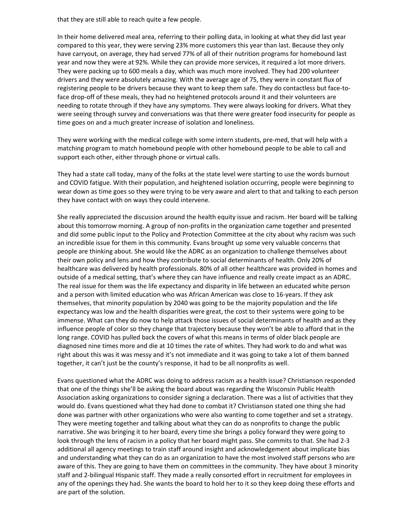that they are still able to reach quite a few people.

In their home delivered meal area, referring to their polling data, in looking at what they did last year compared to this year, they were serving 23% more customers this year than last. Because they only have carryout, on average, they had served 77% of all of their nutrition programs for homebound last year and now they were at 92%. While they can provide more services, it required a lot more drivers. They were packing up to 600 meals a day, which was much more involved. They had 200 volunteer drivers and they were absolutely amazing. With the average age of 75, they were in constant flux of registering people to be drivers because they want to keep them safe. They do contactless but face-toface drop-off of these meals, they had no heightened protocols around it and their volunteers are needing to rotate through if they have any symptoms. They were always looking for drivers. What they were seeing through survey and conversations was that there were greater food insecurity for people as time goes on and a much greater increase of isolation and loneliness.

They were working with the medical college with some intern students, pre-med, that will help with a matching program to match homebound people with other homebound people to be able to call and support each other, either through phone or virtual calls.

They had a state call today, many of the folks at the state level were starting to use the words burnout and COVID fatigue. With their population, and heightened isolation occurring, people were beginning to wear down as time goes so they were trying to be very aware and alert to that and talking to each person they have contact with on ways they could intervene.

She really appreciated the discussion around the health equity issue and racism. Her board will be talking about this tomorrow morning. A group of non‐profits in the organization came together and presented and did some public input to the Policy and Protection Committee at the city about why racism was such an incredible issue for them in this community. Evans brought up some very valuable concerns that people are thinking about. She would like the ADRC as an organization to challenge themselves about their own policy and lens and how they contribute to social determinants of health. Only 20% of healthcare was delivered by health professionals. 80% of all other healthcare was provided in homes and outside of a medical setting, that's where they can have influence and really create impact as an ADRC. The real issue for them was the life expectancy and disparity in life between an educated white person and a person with limited education who was African American was close to 16‐years. If they ask themselves, that minority population by 2040 was going to be the majority population and the life expectancy was low and the health disparities were great, the cost to their systems were going to be immense. What can they do now to help attack those issues of social determinants of health and as they influence people of color so they change that trajectory because they won't be able to afford that in the long range. COVID has pulled back the covers of what this means in terms of older black people are diagnosed nine times more and die at 10 times the rate of whites. They had work to do and what was right about this was it was messy and it's not immediate and it was going to take a lot of them banned together, it can't just be the county's response, it had to be all nonprofits as well.

Evans questioned what the ADRC was doing to address racism as a health issue? Christianson responded that one of the things she'll be asking the board about was regarding the Wisconsin Public Health Association asking organizations to consider signing a declaration. There was a list of activities that they would do. Evans questioned what they had done to combat it? Christianson stated one thing she had done was partner with other organizations who were also wanting to come together and set a strategy. They were meeting together and talking about what they can do as nonprofits to change the public narrative. She was bringing it to her board, every time she brings a policy forward they were going to look through the lens of racism in a policy that her board might pass. She commits to that. She had 2‐3 additional all agency meetings to train staff around insight and acknowledgement about implicate bias and understanding what they can do as an organization to have the most involved staff persons who are aware of this. They are going to have them on committees in the community. They have about 3 minority staff and 2‐bilingual Hispanic staff. They made a really consorted effort in recruitment for employees in any of the openings they had. She wants the board to hold her to it so they keep doing these efforts and are part of the solution.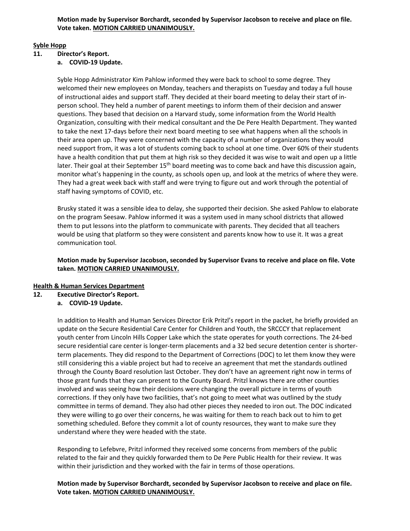## **Syble Hopp**

# **11. Director's Report.**

**a. COVID‐19 Update.**

Syble Hopp Administrator Kim Pahlow informed they were back to school to some degree. They welcomed their new employees on Monday, teachers and therapists on Tuesday and today a full house of instructional aides and support staff. They decided at their board meeting to delay their start of in‐ person school. They held a number of parent meetings to inform them of their decision and answer questions. They based that decision on a Harvard study, some information from the World Health Organization, consulting with their medical consultant and the De Pere Health Department. They wanted to take the next 17‐days before their next board meeting to see what happens when all the schools in their area open up. They were concerned with the capacity of a number of organizations they would need support from, it was a lot of students coming back to school at one time. Over 60% of their students have a health condition that put them at high risk so they decided it was wise to wait and open up a little later. Their goal at their September 15<sup>th</sup> board meeting was to come back and have this discussion again, monitor what's happening in the county, as schools open up, and look at the metrics of where they were. They had a great week back with staff and were trying to figure out and work through the potential of staff having symptoms of COVID, etc.

Brusky stated it was a sensible idea to delay, she supported their decision. She asked Pahlow to elaborate on the program Seesaw. Pahlow informed it was a system used in many school districts that allowed them to put lessons into the platform to communicate with parents. They decided that all teachers would be using that platform so they were consistent and parents know how to use it. It was a great communication tool.

## **Motion made by Supervisor Jacobson, seconded by Supervisor Evans to receive and place on file. Vote taken. MOTION CARRIED UNANIMOUSLY.**

## **Health & Human Services Department**

**12. Executive Director's Report.**

## **a. COVID‐19 Update.**

In addition to Health and Human Services Director Erik Pritzl's report in the packet, he briefly provided an update on the Secure Residential Care Center for Children and Youth, the SRCCCY that replacement youth center from Lincoln Hills Copper Lake which the state operates for youth corrections. The 24‐bed secure residential care center is longer-term placements and a 32 bed secure detention center is shorterterm placements. They did respond to the Department of Corrections (DOC) to let them know they were still considering this a viable project but had to receive an agreement that met the standards outlined through the County Board resolution last October. They don't have an agreement right now in terms of those grant funds that they can present to the County Board. Pritzl knows there are other counties involved and was seeing how their decisions were changing the overall picture in terms of youth corrections. If they only have two facilities, that's not going to meet what was outlined by the study committee in terms of demand. They also had other pieces they needed to iron out. The DOC indicated they were willing to go over their concerns, he was waiting for them to reach back out to him to get something scheduled. Before they commit a lot of county resources, they want to make sure they understand where they were headed with the state.

Responding to Lefebvre, Pritzl informed they received some concerns from members of the public related to the fair and they quickly forwarded them to De Pere Public Health for their review. It was within their jurisdiction and they worked with the fair in terms of those operations.

**Motion made by Supervisor Borchardt, seconded by Supervisor Jacobson to receive and place on file. Vote taken. MOTION CARRIED UNANIMOUSLY.**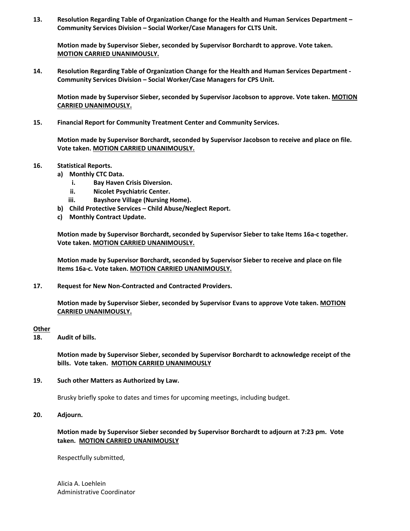**13. Resolution Regarding Table of Organization Change for the Health and Human Services Department – Community Services Division – Social Worker/Case Managers for CLTS Unit.**

**Motion made by Supervisor Sieber, seconded by Supervisor Borchardt to approve. Vote taken. MOTION CARRIED UNANIMOUSLY.**

**14. Resolution Regarding Table of Organization Change for the Health and Human Services Department ‐ Community Services Division – Social Worker/Case Managers for CPS Unit.** 

**Motion made by Supervisor Sieber, seconded by Supervisor Jacobson to approve. Vote taken. MOTION CARRIED UNANIMOUSLY.**

**15. Financial Report for Community Treatment Center and Community Services.**

**Motion made by Supervisor Borchardt, seconded by Supervisor Jacobson to receive and place on file. Vote taken. MOTION CARRIED UNANIMOUSLY.**

#### **16. Statistical Reports.**

- **a) Monthly CTC Data.**
	- **i. Bay Haven Crisis Diversion.**
	- **ii. Nicolet Psychiatric Center.**
	- **iii. Bayshore Village (Nursing Home).**
- **b) Child Protective Services – Child Abuse/Neglect Report.**
- **c) Monthly Contract Update.**

**Motion made by Supervisor Borchardt, seconded by Supervisor Sieber to take Items 16a‐c together. Vote taken. MOTION CARRIED UNANIMOUSLY.**

**Motion made by Supervisor Borchardt, seconded by Supervisor Sieber to receive and place on file Items 16a‐c. Vote taken. MOTION CARRIED UNANIMOUSLY.**

**17. Request for New Non‐Contracted and Contracted Providers.**

**Motion made by Supervisor Sieber, seconded by Supervisor Evans to approve Vote taken. MOTION CARRIED UNANIMOUSLY.**

#### **Other**

**18. Audit of bills.**

**Motion made by Supervisor Sieber, seconded by Supervisor Borchardt to acknowledge receipt of the bills. Vote taken. MOTION CARRIED UNANIMOUSLY**

#### **19. Such other Matters as Authorized by Law.**

Brusky briefly spoke to dates and times for upcoming meetings, including budget.

**20. Adjourn.**

### **Motion made by Supervisor Sieber seconded by Supervisor Borchardt to adjourn at 7:23 pm. Vote taken. MOTION CARRIED UNANIMOUSLY**

Respectfully submitted,

Alicia A. Loehlein Administrative Coordinator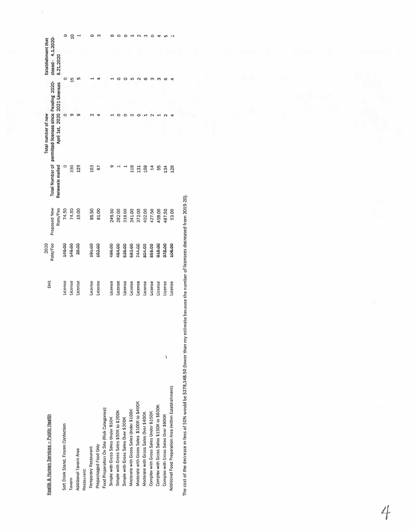| 8.21.2020<br>$\circ$<br>$\frac{5}{2}$<br>S<br>ᅴ<br>₹<br>۰<br>۰<br>in.<br>$\sim$<br>o<br>$\langle \nabla \rangle$<br>ా<br>ø<br>ᆏ<br>サ<br>April 1st, 2020 2021 Licenses<br>۰<br>$\sigma$<br>ø<br>$\mathbf{\Omega}$<br>۰<br>0<br>0<br>$\sim$<br>۰<br>$\sim$<br>$\sim$<br>ਚ<br>330<br>Renewals mailed<br>o<br>129<br>103<br>Q)<br>119<br>67<br>ᆏ<br>$\overline{\phantom{a}}$<br>108<br>14<br>55<br>129<br>131<br>134<br>Rate/Fee<br>74.50<br>74.50<br>19.00<br>81.00<br>249.50<br>282.00<br>318.00<br>341.00<br>372.00<br>402.00<br>95.50<br>427.50<br>459.00<br>487.50<br>53.00<br><b>OO'BYT</b><br>OO'O'LE<br>aa.oo<br>489.00<br>636.00<br>682.00<br>804.00<br>181.00<br>162.00<br>464.00<br>244.00<br>855.00<br>848.00<br>875.00<br>106.00<br>License<br>License<br>License<br>License<br>License<br>License<br>License<br>License<br>License<br>License<br>License<br>License<br>License<br>License<br>License | $close - 4.1.2020 -$<br><b>Establishment</b> that<br>permitted licenses since Pending 2020-<br><b>Total Number of</b><br>estimate because the number of licensees decreased from 2019-20).<br>Proposed New<br>Rate/Fee<br>Š | ١ | Health & Human Services - Public Health | The cost of the decrease in fees of 50% would be \$278,148.50 (lower than my<br>Additional Food Preparation Area (within Establishment)<br>Moderate with Gross Sales \$100K to \$400K<br>Complex with Gross Sales \$150K to \$600K<br>Food Preparation On Site (Risk Categories):<br>Moderate with Gross Sales Under \$100K<br>Simple with Gross Sales \$50K to \$200K<br>Complex with Gross Sales Under \$150K<br>Moderate with Gross Sales Over \$400K<br>Complex with Gross Sales Over \$600K<br>Simple with Gross Sales Under \$50K<br>Simple with Gross Sales Over \$200K<br>Soft Drink Stand, Frozen Confection<br>Prepackaged Food Only<br><b>Temporary Restaurant</b><br>Additional Tavern Area |
|----------------------------------------------------------------------------------------------------------------------------------------------------------------------------------------------------------------------------------------------------------------------------------------------------------------------------------------------------------------------------------------------------------------------------------------------------------------------------------------------------------------------------------------------------------------------------------------------------------------------------------------------------------------------------------------------------------------------------------------------------------------------------------------------------------------------------------------------------------------------------------------------------------------|-----------------------------------------------------------------------------------------------------------------------------------------------------------------------------------------------------------------------------|---|-----------------------------------------|---------------------------------------------------------------------------------------------------------------------------------------------------------------------------------------------------------------------------------------------------------------------------------------------------------------------------------------------------------------------------------------------------------------------------------------------------------------------------------------------------------------------------------------------------------------------------------------------------------------------------------------------------------------------------------------------------------|
|                                                                                                                                                                                                                                                                                                                                                                                                                                                                                                                                                                                                                                                                                                                                                                                                                                                                                                                |                                                                                                                                                                                                                             |   |                                         |                                                                                                                                                                                                                                                                                                                                                                                                                                                                                                                                                                                                                                                                                                         |
|                                                                                                                                                                                                                                                                                                                                                                                                                                                                                                                                                                                                                                                                                                                                                                                                                                                                                                                |                                                                                                                                                                                                                             |   |                                         |                                                                                                                                                                                                                                                                                                                                                                                                                                                                                                                                                                                                                                                                                                         |
|                                                                                                                                                                                                                                                                                                                                                                                                                                                                                                                                                                                                                                                                                                                                                                                                                                                                                                                |                                                                                                                                                                                                                             |   |                                         |                                                                                                                                                                                                                                                                                                                                                                                                                                                                                                                                                                                                                                                                                                         |
|                                                                                                                                                                                                                                                                                                                                                                                                                                                                                                                                                                                                                                                                                                                                                                                                                                                                                                                |                                                                                                                                                                                                                             |   |                                         |                                                                                                                                                                                                                                                                                                                                                                                                                                                                                                                                                                                                                                                                                                         |
|                                                                                                                                                                                                                                                                                                                                                                                                                                                                                                                                                                                                                                                                                                                                                                                                                                                                                                                |                                                                                                                                                                                                                             |   |                                         |                                                                                                                                                                                                                                                                                                                                                                                                                                                                                                                                                                                                                                                                                                         |
|                                                                                                                                                                                                                                                                                                                                                                                                                                                                                                                                                                                                                                                                                                                                                                                                                                                                                                                |                                                                                                                                                                                                                             |   |                                         |                                                                                                                                                                                                                                                                                                                                                                                                                                                                                                                                                                                                                                                                                                         |
|                                                                                                                                                                                                                                                                                                                                                                                                                                                                                                                                                                                                                                                                                                                                                                                                                                                                                                                |                                                                                                                                                                                                                             |   |                                         |                                                                                                                                                                                                                                                                                                                                                                                                                                                                                                                                                                                                                                                                                                         |
|                                                                                                                                                                                                                                                                                                                                                                                                                                                                                                                                                                                                                                                                                                                                                                                                                                                                                                                |                                                                                                                                                                                                                             |   |                                         |                                                                                                                                                                                                                                                                                                                                                                                                                                                                                                                                                                                                                                                                                                         |
|                                                                                                                                                                                                                                                                                                                                                                                                                                                                                                                                                                                                                                                                                                                                                                                                                                                                                                                |                                                                                                                                                                                                                             |   |                                         |                                                                                                                                                                                                                                                                                                                                                                                                                                                                                                                                                                                                                                                                                                         |